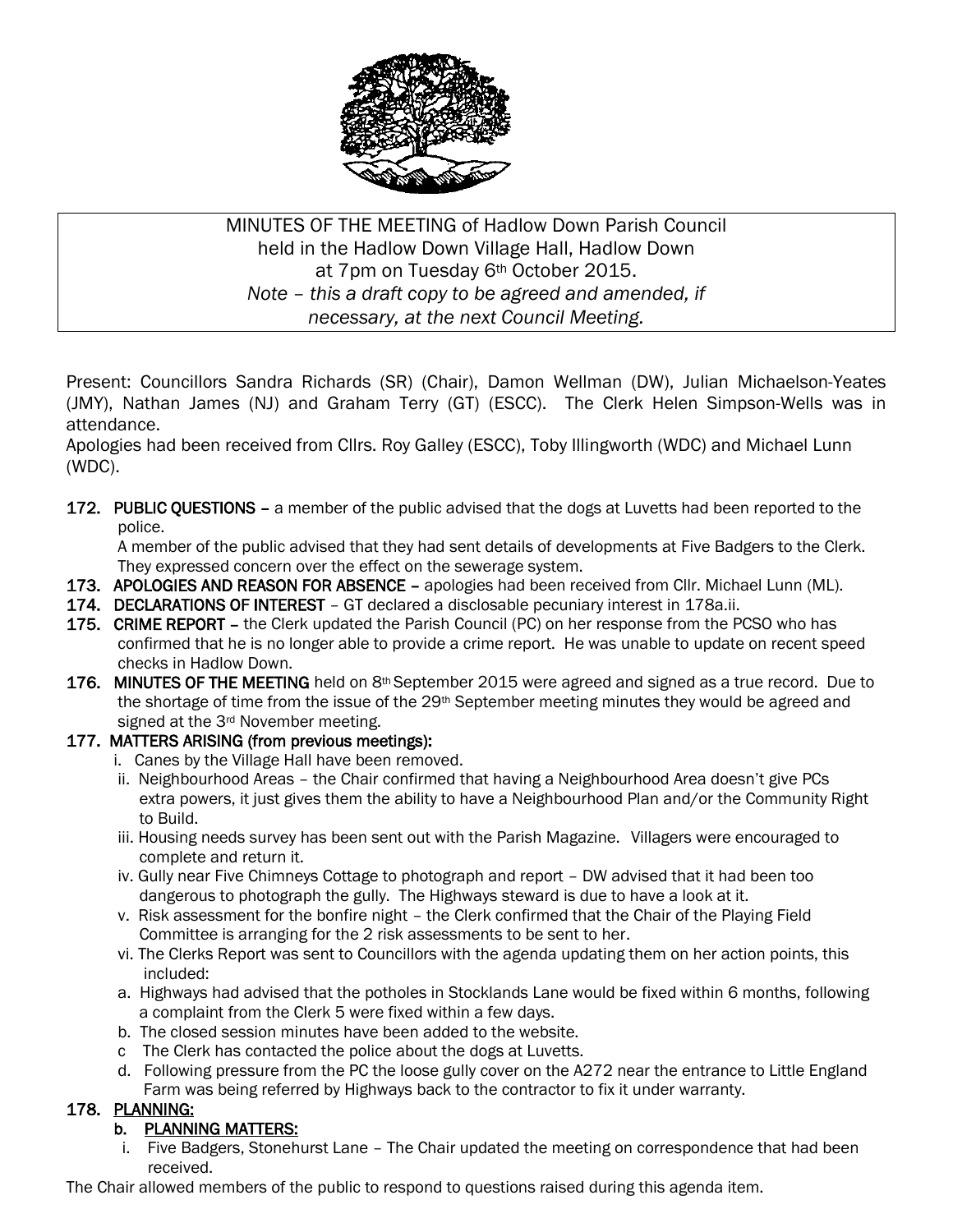

# MINUTES OF THE MEETING of Hadlow Down Parish Council held in the Hadlow Down Village Hall, Hadlow Down at 7pm on Tuesday 6th October 2015. *Note – this a draft copy to be agreed and amended, if necessary, at the next Council Meeting.*

Present: Councillors Sandra Richards (SR) (Chair), Damon Wellman (DW), Julian Michaelson-Yeates (JMY), Nathan James (NJ) and Graham Terry (GT) (ESCC). The Clerk Helen Simpson-Wells was in attendance.

Apologies had been received from Cllrs. Roy Galley (ESCC), Toby Illingworth (WDC) and Michael Lunn (WDC).

172. PUBLIC QUESTIONS – a member of the public advised that the dogs at Luvetts had been reported to the police.

 A member of the public advised that they had sent details of developments at Five Badgers to the Clerk. They expressed concern over the effect on the sewerage system.

- 173. APOLOGIES AND REASON FOR ABSENCE apologies had been received from Cllr. Michael Lunn (ML).
- 174. DECLARATIONS OF INTEREST GT declared a disclosable pecuniary interest in 178a.ii.
- 175. CRIME REPORT the Clerk updated the Parish Council (PC) on her response from the PCSO who has confirmed that he is no longer able to provide a crime report. He was unable to update on recent speed checks in Hadlow Down.
- 176. MINUTES OF THE MEETING held on  $8<sup>th</sup>$  September 2015 were agreed and signed as a true record. Due to the shortage of time from the issue of the 29<sup>th</sup> September meeting minutes they would be agreed and signed at the 3<sup>rd</sup> November meeting.

# 177. MATTERS ARISING (from previous meetings):

- i. Canes by the Village Hall have been removed.
	- ii. Neighbourhood Areas the Chair confirmed that having a Neighbourhood Area doesn't give PCs extra powers, it just gives them the ability to have a Neighbourhood Plan and/or the Community Right to Build.
	- iii. Housing needs survey has been sent out with the Parish Magazine. Villagers were encouraged to complete and return it.
	- iv. Gully near Five Chimneys Cottage to photograph and report DW advised that it had been too dangerous to photograph the gully. The Highways steward is due to have a look at it.
	- v. Risk assessment for the bonfire night the Clerk confirmed that the Chair of the Playing Field Committee is arranging for the 2 risk assessments to be sent to her.
	- vi. The Clerks Report was sent to Councillors with the agenda updating them on her action points, this included:
	- a. Highways had advised that the potholes in Stocklands Lane would be fixed within 6 months, following a complaint from the Clerk 5 were fixed within a few days.
	- b. The closed session minutes have been added to the website.
	- c The Clerk has contacted the police about the dogs at Luvetts.
	- d. Following pressure from the PC the loose gully cover on the A272 near the entrance to Little England Farm was being referred by Highways back to the contractor to fix it under warranty.

# 178. PLANNING:

### b. PLANNING MATTERS:

 i. Five Badgers, Stonehurst Lane – The Chair updated the meeting on correspondence that had been received.

The Chair allowed members of the public to respond to questions raised during this agenda item.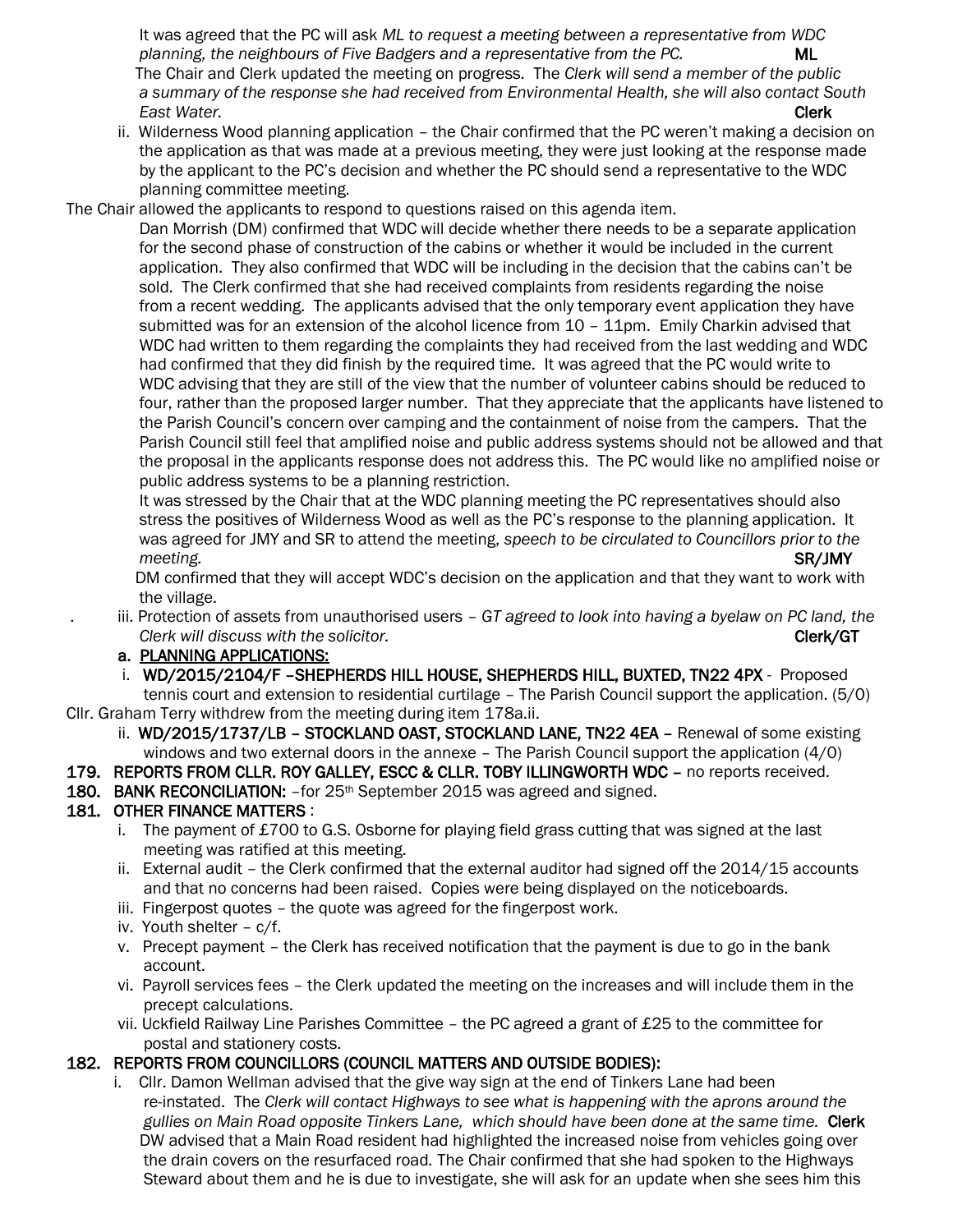It was agreed that the PC will ask *ML to request a meeting between a representative from WDC planning, the neighbours of Five Badgers and a representative from the PC.* ML The Chair and Clerk updated the meeting on progress. The *Clerk will send a member of the public a summary of the response she had received from Environmental Health, she will also contact South East Water.* Clerk

- ii. Wilderness Wood planning application the Chair confirmed that the PC weren't making a decision on the application as that was made at a previous meeting, they were just looking at the response made by the applicant to the PC's decision and whether the PC should send a representative to the WDC planning committee meeting.
- The Chair allowed the applicants to respond to questions raised on this agenda item.

 Dan Morrish (DM) confirmed that WDC will decide whether there needs to be a separate application for the second phase of construction of the cabins or whether it would be included in the current application. They also confirmed that WDC will be including in the decision that the cabins can't be sold. The Clerk confirmed that she had received complaints from residents regarding the noise from a recent wedding. The applicants advised that the only temporary event application they have submitted was for an extension of the alcohol licence from 10 - 11pm. Emily Charkin advised that WDC had written to them regarding the complaints they had received from the last wedding and WDC had confirmed that they did finish by the required time. It was agreed that the PC would write to WDC advising that they are still of the view that the number of volunteer cabins should be reduced to four, rather than the proposed larger number. That they appreciate that the applicants have listened to the Parish Council's concern over camping and the containment of noise from the campers. That the Parish Council still feel that amplified noise and public address systems should not be allowed and that the proposal in the applicants response does not address this. The PC would like no amplified noise or public address systems to be a planning restriction.

 It was stressed by the Chair that at the WDC planning meeting the PC representatives should also stress the positives of Wilderness Wood as well as the PC's response to the planning application. It was agreed for JMY and SR to attend the meeting, *speech to be circulated to Councillors prior to the meeting.* SR/JMY

 DM confirmed that they will accept WDC's decision on the application and that they want to work with the village.

. iii. Protection of assets from unauthorised users – *GT agreed to look into having a byelaw on PC land, the Clerk will discuss with the solicitor.* Clerk and Clerk and Clerk/GT clerk/GT clerk/GT clerk/GT clerk/GT clerk/GT

#### a. PLANNING APPLICATIONS:

i. WD/2015/2104/F –SHEPHERDS HILL HOUSE, SHEPHERDS HILL, BUXTED, TN22 4PX - Proposed

 tennis court and extension to residential curtilage – The Parish Council support the application. (5/0) Cllr. Graham Terry withdrew from the meeting during item 178a.ii.

ii. WD/2015/1737/LB - STOCKLAND OAST, STOCKLAND LANE, TN22 4EA - Renewal of some existing windows and two external doors in the annexe – The Parish Council support the application (4/0)

#### 179. REPORTS FROM CLLR. ROY GALLEY, ESCC & CLLR. TOBY ILLINGWORTH WDC – no reports received.

### 180. BANK RECONCILIATION: -for 25<sup>th</sup> September 2015 was agreed and signed.

### 181. OTHER FINANCE MATTERS :

- i. The payment of £700 to G.S. Osborne for playing field grass cutting that was signed at the last meeting was ratified at this meeting.
- ii. External audit the Clerk confirmed that the external auditor had signed off the 2014/15 accounts and that no concerns had been raised. Copies were being displayed on the noticeboards.
- iii. Fingerpost quotes the quote was agreed for the fingerpost work.
- iv. Youth shelter c/f.
- v. Precept payment the Clerk has received notification that the payment is due to go in the bank account.
- vi. Payroll services fees the Clerk updated the meeting on the increases and will include them in the precept calculations.
- vii. Uckfield Railway Line Parishes Committee the PC agreed a grant of £25 to the committee for postal and stationery costs.

### 182. REPORTS FROM COUNCILLORS (COUNCIL MATTERS AND OUTSIDE BODIES):

 i. Cllr. Damon Wellman advised that the give way sign at the end of Tinkers Lane had been re-instated. The *Clerk will contact Highways to see what is happening with the aprons around the gullies on Main Road opposite Tinkers Lane, which should have been done at the same time.* Clerk DW advised that a Main Road resident had highlighted the increased noise from vehicles going over the drain covers on the resurfaced road*.* The Chair confirmed that she had spoken to the Highways Steward about them and he is due to investigate, she will ask for an update when she sees him this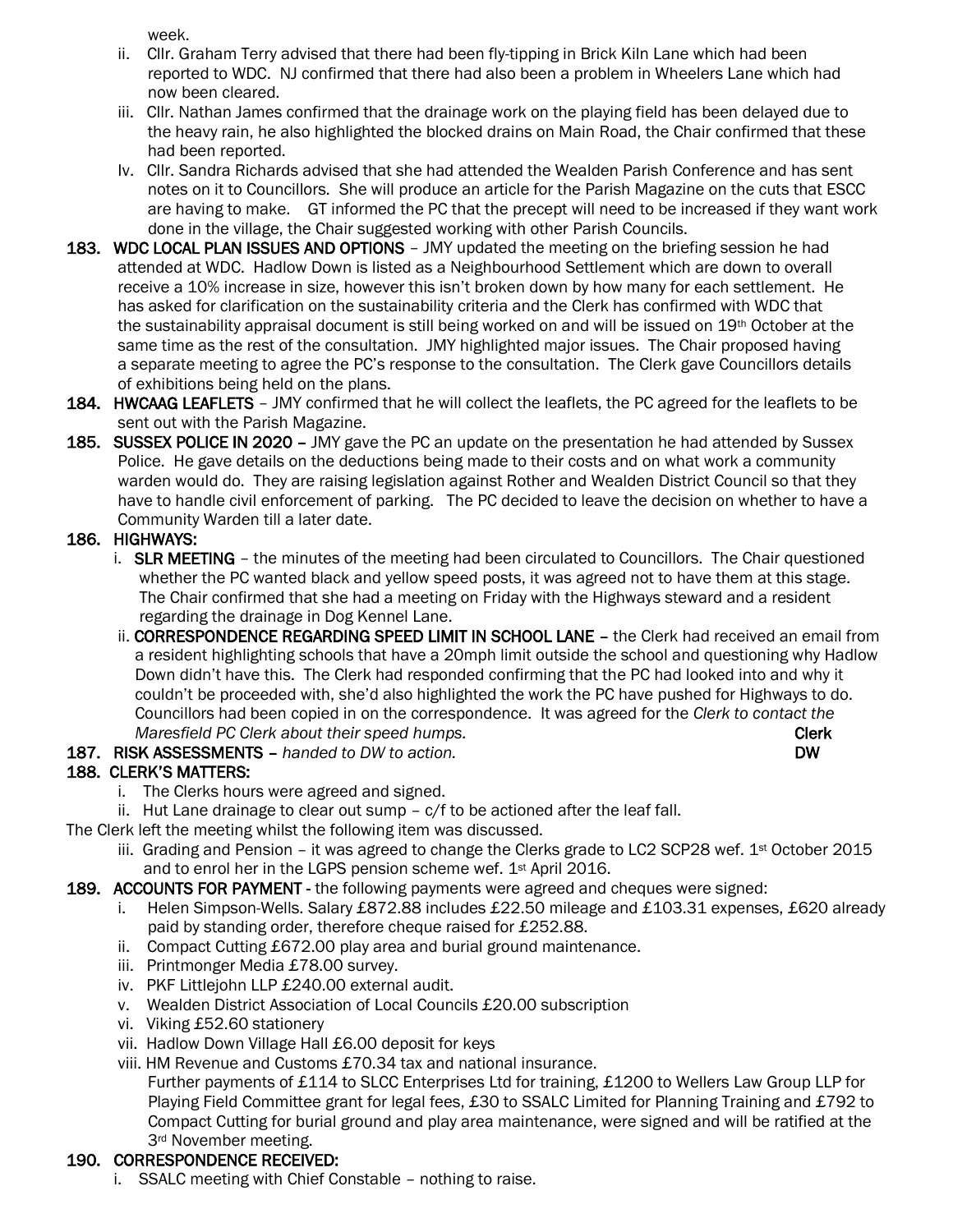week.

- ii. Cllr. Graham Terry advised that there had been fly-tipping in Brick Kiln Lane which had been reported to WDC. NJ confirmed that there had also been a problem in Wheelers Lane which had now been cleared.
- iii. Cllr. Nathan James confirmed that the drainage work on the playing field has been delayed due to the heavy rain, he also highlighted the blocked drains on Main Road, the Chair confirmed that these had been reported.
- Iv. Cllr. Sandra Richards advised that she had attended the Wealden Parish Conference and has sent notes on it to Councillors. She will produce an article for the Parish Magazine on the cuts that ESCC are having to make. GT informed the PC that the precept will need to be increased if they want work done in the village, the Chair suggested working with other Parish Councils.
- 183. WDC LOCAL PLAN ISSUES AND OPTIONS JMY updated the meeting on the briefing session he had attended at WDC. Hadlow Down is listed as a Neighbourhood Settlement which are down to overall receive a 10% increase in size, however this isn't broken down by how many for each settlement. He has asked for clarification on the sustainability criteria and the Clerk has confirmed with WDC that the sustainability appraisal document is still being worked on and will be issued on 19<sup>th</sup> October at the same time as the rest of the consultation. JMY highlighted major issues. The Chair proposed having a separate meeting to agree the PC's response to the consultation. The Clerk gave Councillors details of exhibitions being held on the plans.
- 184. HWCAAG LEAFLETS JMY confirmed that he will collect the leaflets, the PC agreed for the leaflets to be sent out with the Parish Magazine.
- 185. SUSSEX POLICE IN 2020 JMY gave the PC an update on the presentation he had attended by Sussex Police. He gave details on the deductions being made to their costs and on what work a community warden would do. They are raising legislation against Rother and Wealden District Council so that they have to handle civil enforcement of parking. The PC decided to leave the decision on whether to have a Community Warden till a later date.

# 186. HIGHWAYS:

- i. SLR MEETING the minutes of the meeting had been circulated to Councillors. The Chair questioned whether the PC wanted black and yellow speed posts, it was agreed not to have them at this stage. The Chair confirmed that she had a meeting on Friday with the Highways steward and a resident regarding the drainage in Dog Kennel Lane.
- ii. CORRESPONDENCE REGARDING SPEED LIMIT IN SCHOOL LANE the Clerk had received an email from a resident highlighting schools that have a 20mph limit outside the school and questioning why Hadlow Down didn't have this. The Clerk had responded confirming that the PC had looked into and why it couldn't be proceeded with, she'd also highlighted the work the PC have pushed for Highways to do. Councillors had been copied in on the correspondence. It was agreed for the *Clerk to contact the Maresfield PC Clerk about their speed humps.* **Clerk and the speed for the speed for the speed for the speed for the speed for the speed for the speed for the speed for the speed for the speed for the speed for the speed**
- 187. RISK ASSESSMENTS *handed to DW to action.* DW

# 188. CLERK'S MATTERS:

- i. The Clerks hours were agreed and signed.
- ii. Hut Lane drainage to clear out sump  $c/f$  to be actioned after the leaf fall.
- The Clerk left the meeting whilst the following item was discussed.
	- iii. Grading and Pension it was agreed to change the Clerks grade to LC2 SCP28 wef.  $1^{st}$  October 2015 and to enrol her in the LGPS pension scheme wef. 1st April 2016.
- 189. ACCOUNTS FOR PAYMENT the following payments were agreed and cheques were signed:
	- i. Helen Simpson-Wells. Salary £872.88 includes £22.50 mileage and £103.31 expenses, £620 already paid by standing order, therefore cheque raised for £252.88.
	- ii. Compact Cutting £672.00 play area and burial ground maintenance.
	- iii. Printmonger Media £78.00 survey.
	- iv. PKF Littlejohn LLP £240.00 external audit.
	- v. Wealden District Association of Local Councils £20.00 subscription
	- vi. Viking £52.60 stationery
	- vii. Hadlow Down Village Hall £6.00 deposit for keys
	- viii. HM Revenue and Customs £70.34 tax and national insurance.

 Further payments of £114 to SLCC Enterprises Ltd for training, £1200 to Wellers Law Group LLP for Playing Field Committee grant for legal fees, £30 to SSALC Limited for Planning Training and £792 to Compact Cutting for burial ground and play area maintenance, were signed and will be ratified at the 3rd November meeting.

# 190. CORRESPONDENCE RECEIVED:

i. SSALC meeting with Chief Constable – nothing to raise.